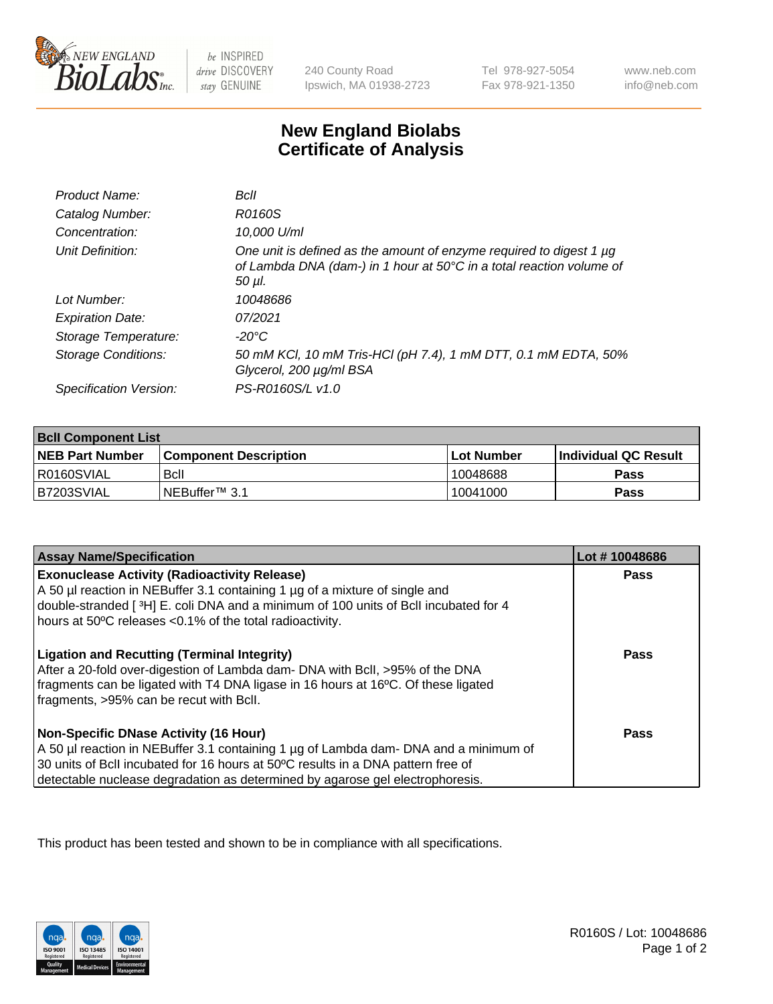

be INSPIRED drive DISCOVERY stay GENUINE

240 County Road Ipswich, MA 01938-2723

Tel 978-927-5054 Fax 978-921-1350

www.neb.com info@neb.com

## **New England Biolabs Certificate of Analysis**

| Product Name:              | Bcll                                                                                                                                                  |
|----------------------------|-------------------------------------------------------------------------------------------------------------------------------------------------------|
| Catalog Number:            | R0160S                                                                                                                                                |
| Concentration:             | 10,000 U/ml                                                                                                                                           |
| Unit Definition:           | One unit is defined as the amount of enzyme required to digest 1 µg<br>of Lambda DNA (dam-) in 1 hour at 50°C in a total reaction volume of<br>50 µl. |
| Lot Number:                | 10048686                                                                                                                                              |
| <b>Expiration Date:</b>    | 07/2021                                                                                                                                               |
| Storage Temperature:       | -20°C                                                                                                                                                 |
| <b>Storage Conditions:</b> | 50 mM KCl, 10 mM Tris-HCl (pH 7.4), 1 mM DTT, 0.1 mM EDTA, 50%<br>Glycerol, 200 µg/ml BSA                                                             |
| Specification Version:     | PS-R0160S/L v1.0                                                                                                                                      |

| <b>Bcll Component List</b> |                              |              |                             |  |
|----------------------------|------------------------------|--------------|-----------------------------|--|
| <b>NEB Part Number</b>     | <b>Component Description</b> | l Lot Number | <b>Individual QC Result</b> |  |
| R0160SVIAL                 | Bcll                         | 10048688     | Pass                        |  |
| IB7203SVIAL                | i NEBuffer™ 3.1              | 10041000     | Pass                        |  |

| <b>Assay Name/Specification</b>                                                                                                                                                                                                                                                                    | Lot #10048686 |
|----------------------------------------------------------------------------------------------------------------------------------------------------------------------------------------------------------------------------------------------------------------------------------------------------|---------------|
| <b>Exonuclease Activity (Radioactivity Release)</b><br>A 50 µl reaction in NEBuffer 3.1 containing 1 µg of a mixture of single and<br>double-stranded [3H] E. coli DNA and a minimum of 100 units of Bcll incubated for 4<br>hours at 50°C releases <0.1% of the total radioactivity.              | Pass          |
| <b>Ligation and Recutting (Terminal Integrity)</b><br>After a 20-fold over-digestion of Lambda dam- DNA with BcII, >95% of the DNA<br>fragments can be ligated with T4 DNA ligase in 16 hours at 16°C. Of these ligated<br>fragments, >95% can be recut with Bcll.                                 | Pass          |
| Non-Specific DNase Activity (16 Hour)<br>A 50 µl reaction in NEBuffer 3.1 containing 1 µg of Lambda dam- DNA and a minimum of<br>30 units of BcII incubated for 16 hours at 50°C results in a DNA pattern free of<br>detectable nuclease degradation as determined by agarose gel electrophoresis. | Pass          |

This product has been tested and shown to be in compliance with all specifications.